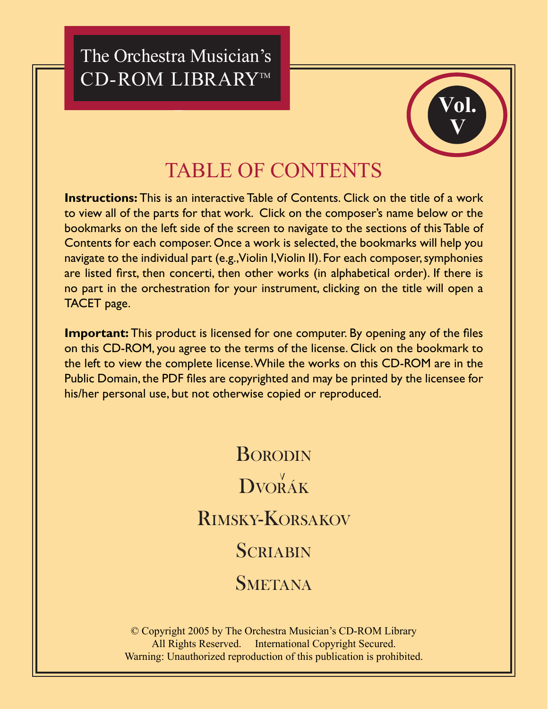The Orchestra Musician's CD-ROM LIBRARY™



### **TABLE OF CONTENTS**

**Instructions:** This is an interactive Table of Contents. Click on the title of a work to view all of the parts for that work. Click on the composer's name below or the bookmarks on the left side of the screen to navigate to the sections of this Table of Contents for each composer. Once a work is selected, the bookmarks will help you navigate to the individual part (e.g., Violin I, Violin II). For each composer, symphonies are listed first, then concerti, then other works (in alphabetical order). If there is no part in the orchestration for your instrument, clicking on the title will open a TACET page.

**Important:** This product is licensed for one computer. By opening any of the files on this CD-ROM, you agree to the terms of the license. Click on the bookmark to the left to view the complete license. While the works on this CD-ROM are in the Public Domain, the PDF files are copyrighted and may be printed by the licensee for his/her personal use, but not otherwise copied or reproduced.

# **BORODIN** DVORÁK **RIMSKY-KORSAKOV SCRIABIN SMETANA**

© Copyright 2005 by The Orchestra Musician's CD-ROM Library All Rights Reserved. International Copyright Secured. Warning: Unauthorized reproduction of this publication is prohibited.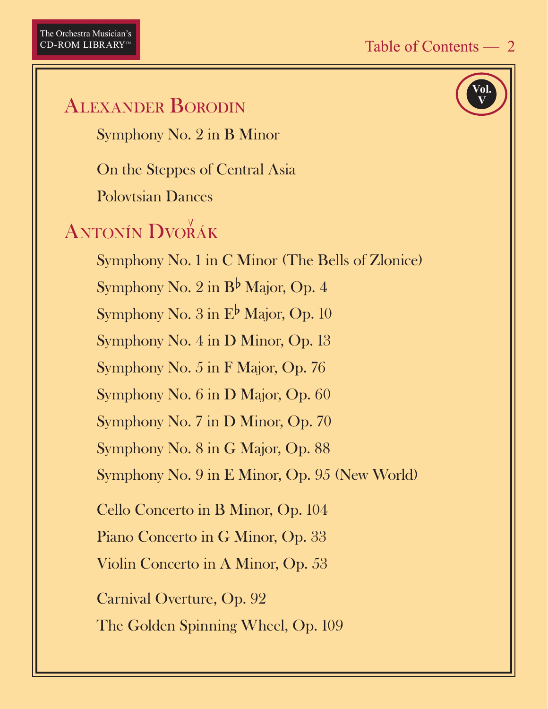# Vol **ALEXANDER BORODIN** Symphony No. 2 in B Minor On the Steppes of Central Asia **Polovtsian Dances ANTONÍN DVORÁK** Symphony No. 1 in C Minor (The Bells of Zlonice) Symphony No. 2 in  $B^{\flat}$  Major, Op. 4 Symphony No. 3 in E<sup>b</sup> Major, Op. 10 Symphony No. 4 in D Minor, Op. 13 Symphony No. 5 in F Major, Op. 76 Symphony No. 6 in D Major, Op. 60 Symphony No. 7 in D Minor, Op. 70 Symphony No. 8 in G Major, Op. 88 Symphony No. 9 in E Minor, Op. 95 (New World) Cello Concerto in B Minor, Op. 104 Piano Concerto in G Minor, Op. 33 Violin Concerto in A Minor, Op. 53 **Carnival Overture, Op. 92** The Golden Spinning Wheel, Op. 109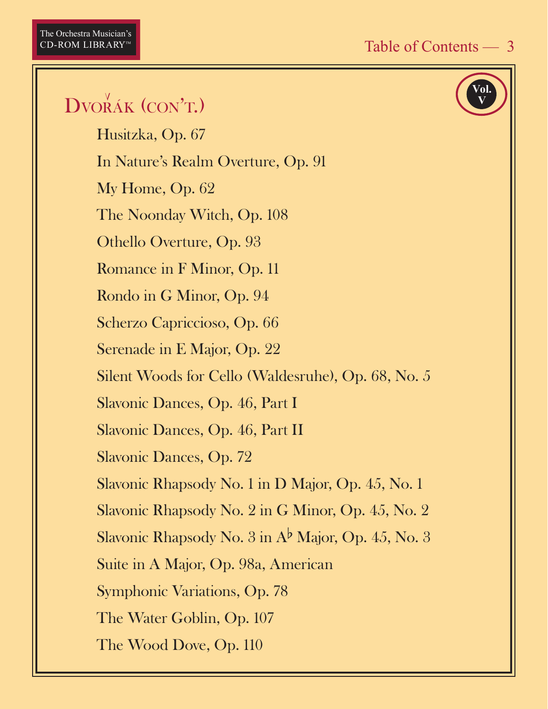Vol

## DVORÁK (CON'T.)

Husitzka, Op. 67 In Nature's Realm Overture, Op. 91 My Home, Op. 62 The Noonday Witch, Op. 108 Othello Overture, Op. 93 Romance in F Minor, Op. 11 Rondo in G Minor, Op. 94 Scherzo Capriccioso, Op. 66 Serenade in E Major, Op. 22 Silent Woods for Cello (Waldesruhe), Op. 68, No. 5 Slavonic Dances, Op. 46, Part I Slavonic Dances, Op. 46, Part II **Slavonic Dances, Op. 72** Slavonic Rhapsody No. 1 in D Major, Op. 45, No. 1 Slavonic Rhapsody No. 2 in G Minor, Op. 45, No. 2 Slavonic Rhapsody No.  $3$  in  $A^{\flat}$  Major, Op. 45, No. 3 Suite in A Major, Op. 98a, American Symphonic Variations, Op. 78 The Water Goblin, Op. 107 The Wood Dove, Op. 110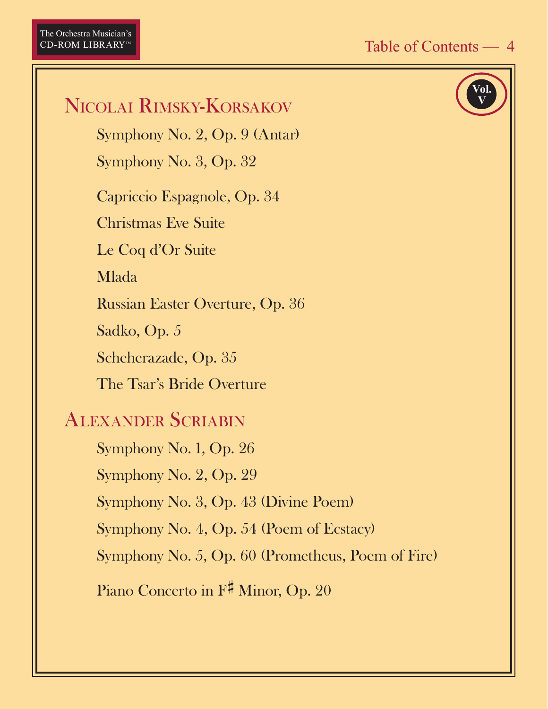Vol

## NICOLAI RIMSKY-KORSAKOV

Symphony No. 2, Op. 9 (Antar)

Symphony No. 3, Op. 32

Capriccio Espagnole, Op. 34

**Christmas Eve Suite** 

Le Coq d'Or Suite

**Mlada** 

**Russian Easter Overture, Op. 36** 

Sadko, Op. 5

Scheherazade, Op. 35

The Tsar's Bride Overture

#### **ALEXANDER SCRIABIN**

Symphony No. 1, Op. 26 Symphony No. 2, Op. 29 Symphony No. 3, Op. 43 (Divine Poem)

Symphony No. 4, Op. 54 (Poem of Ecstacy)

Symphony No. 5, Op. 60 (Prometheus, Poem of Fire)

Piano Concerto in F# Minor, Op. 20